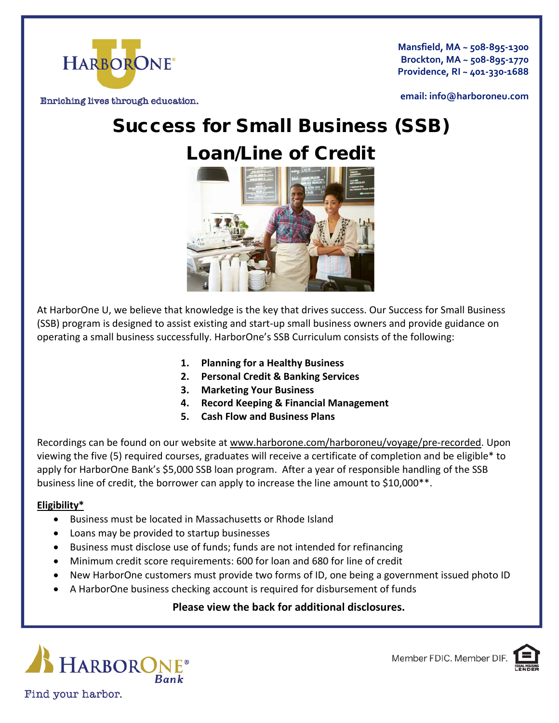

**Mansfield, MA ~ 508-895-1300 Brockton, MA ~ 508-895-1770 Providence, RI ~ 401-330-1688**

Enriching lives through education.

**email: info@harboroneu.com**

# Success for Small Business (SSB) Loan/Line of Credit



At HarborOne U, we believe that knowledge is the key that drives success. Our Success for Small Business (SSB) program is designed to assist existing and start-up small business owners and provide guidance on operating a small business successfully. HarborOne's SSB Curriculum consists of the following:

- **1. Planning for a Healthy Business**
- **2. Personal Credit & Banking Services**
- **3. Marketing Your Business**
- **4. Record Keeping & Financial Management**
- **5. Cash Flow and Business Plans**

Recordings can be found on our website at [www.harborone.com/harboroneu/voyage/pre-recorded.](http://www.harborone.com/harboroneu/voyage/pre-recorded) Upon viewing the five (5) required courses, graduates will receive a certificate of completion and be eligible\* to apply for HarborOne Bank's \$5,000 SSB loan program. After a year of responsible handling of the SSB business line of credit, the borrower can apply to increase the line amount to \$10,000\*\*.

### **Eligibility\***

- Business must be located in Massachusetts or Rhode Island
- Loans may be provided to startup businesses
- Business must disclose use of funds; funds are not intended for refinancing
- Minimum credit score requirements: 600 for loan and 680 for line of credit
- New HarborOne customers must provide two forms of ID, one being a government issued photo ID
- A HarborOne business checking account is required for disbursement of funds

## **Please view the back for additional disclosures.**



Member FDIC. Member DIF.